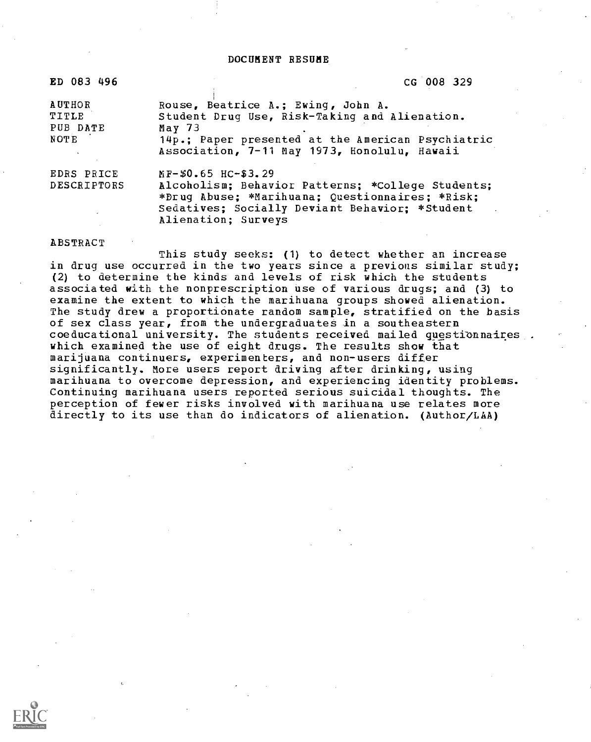DOCUMENT RESUME

| ED 083 496                                 | CG 008 329                                                                                                                                                                                           |
|--------------------------------------------|------------------------------------------------------------------------------------------------------------------------------------------------------------------------------------------------------|
| <b>AUTHOR</b><br>TITLE<br>PUB DATE<br>NOTE | Rouse, Beatrice A.; Ewing, John A.<br>Student Drug Use, Risk-Taking and Alienation.<br>May $73$<br>14p.; Paper presented at the American Psychiatric<br>Association, 7-11 May 1973, Honolulu, Hawaii |
| EDRS PRICE<br><b>DESCRIPTORS</b>           | MF-\$0.65 HC-\$3.29<br>Alcoholism; Behavior Patterns; *College Students;<br>*Drug Abuse; *Marihuana; Questionnaires; *Risk;<br>Sedatives; Socially Deviant Behavior; *Student<br>Alienation; Surveys |

#### ABSTRACT

This study seeks: (1) to detect whether an increase in drug use occurred in the two years since a previous similar study; (2) to determine the kinds and levels of risk which the students associated with the nonprescription use of various drugs; and (3) to examine the extent to which the marihuana groups showed alienation. The study drew a proportionate random sample, stratified on the basis of sex class year, from the undergraduates in a southeastern coeducational university. The students received mailed questionnaires which examined the use of eight drugs. The results show that marijuana continuers, experimenters, and non-users differ significantly. More users report driving after drinking, using marihuana to overcome depression, and experiencing identity problems. Continuing marihuana users reported serious suicidal thoughts. The perception of fewer risks involved with marihuana use relates more directly to its use than do indicators of alienation. (Author/LAA)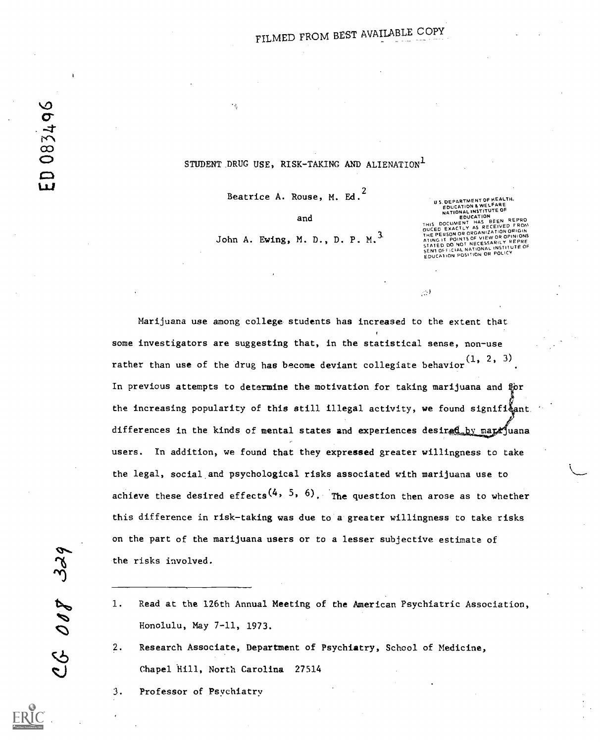## STUDENT DRUG USE, RISK-TAKING AND ALIENATION<sup>1</sup>

Beatrice A. Rouse, M. Ed.<sup>2</sup>

and

John A. Ewing, M. D., D. P. M.<sup>3</sup>

U S. DEPARTMENT OF HEALTH.<br>EDUCATION & WELFARE NATIONAL INSTITUTE OF<br>EDUCATION NATIONAL TEDUCATION<br>DOCUMENT HAS BEEN REPRON<br>D EXACTLY AS RECEIVED FROM THIS DUCHING THE PERSON ORIGIN<br>THE PERSON OR ORGANIZATION ORIGIN<br>ATING IT POINTS OF VIEW OR OPINIONS<br>ATING IT POINTS OF VIEW OR OPINIONS<br>STATED DO NOT NECESSARILY REPRE STATED BUT IN NATIONAL INSTITUTE OF<br>SENT OFFICIAL NATION OR POLICY

 $\sim$ 

Marijuana use among college- students has increased to the extent that some investigators are suggesting that, in the statistical sense, non-use rather than use of the drug has become deviant collegiate behavior  $(1, 2, 3)$ In previous attempts to determine the motivation for taking marijuana and for the increasing popularity of this still illegal activity, we found signifi $\frac{5}{2}$ ant. differences in the kinds of mental states and experiences desired by marr juana users. In addition, we found that they expressed greater willingness to take the legal, social and psychological risks associated with marijuana use to achieve these desired effects<sup>(4, 5, 6)</sup>. The question then arose as to whether this difference in risk-taking was due to a greater willingness to take risks on the part of the marijuana users or to a lesser subjective estimate of the risks involved.

the risks involved.<br>
1. Read at the 126th Annual Meeting of the American Psychiatric Association,<br>
Honolulu, May 7-11, 1973. Honolulu, May 7-11, 1973.

2. Research Associate, Department of Psychiatry, School of Medicine, Chapel Hill, North Carolina 27514

3. Professor of Psychiatry

**CS** 

ED 083496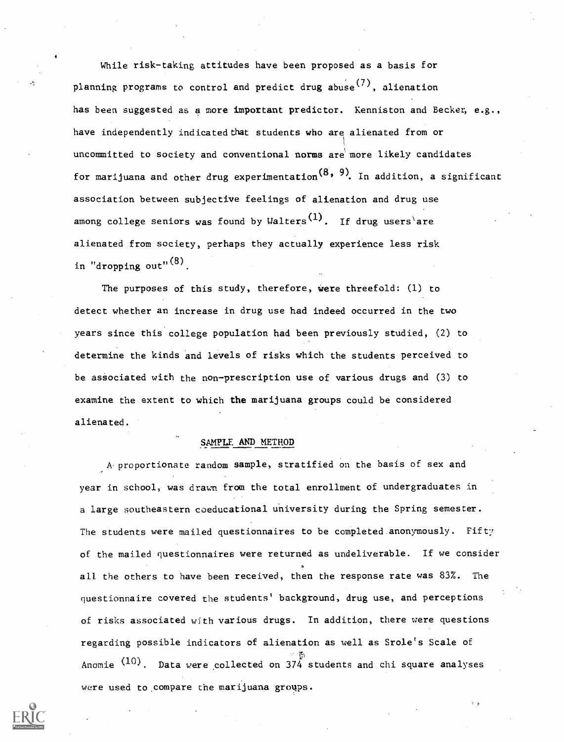While risk-taking attitudes have been proposed as a basis for planning programs to control and predict drug abuse<sup>(7)</sup>, alienation has been suggested as a more important predictor. Kenniston and Becker, e.g., have independently indicated that students who are alienated from or uncommitted to society and conventional norms are more likely candidates for marijuana and other drug experimentation<sup>(8, 9)</sup>. In addition, a significant association between subjective feelings of alienation and drug use among college seniors was found by Walters<sup>(1)</sup>. If drug users are alienated from society, perhaps they actually experience less risk in "dropping out" $(8)$ .

The purposes of this study, therefore, were threefold: (1) to detect whether an increase in drug use had indeed occurred in the two years since this college population had been previously studied, (2) to determine the kinds and levels of risks which the students perceived to be associated with the non-prescription use of various drugs and (3) to examine the extent to which the marijuana groups could be considered alienated.

## SAMPLE AND METHOD

A.proportionate random sample, stratified on the basis of sex and year in school, was drawn from the total enrollment of undergraduates in a large southeastern coeducational university during the Spring semester. The students were mailed questionnaires to be completed.anonymously. Fifty of the mailed questionnaires were returned as undeliverable. If we consider all the others to have been received, then the response rate was 83%. The questionnaire covered the students' background, drug use, and perceptions of risks associated with various drugs. In addition, there were questions regarding possible indicators of alienation as well as Srole's Scale of Anomie  $(10)$ . Data were collected on  $374$  students and chi square analyses were used to compare the marijuana groups.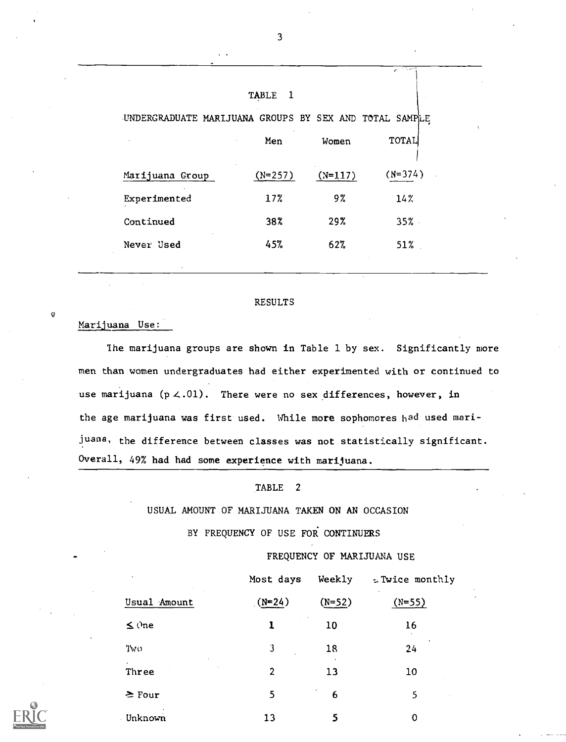|                 |                                                        |           | منتها المستوردة<br>r. |
|-----------------|--------------------------------------------------------|-----------|-----------------------|
|                 | <b>TABLE</b><br>- 1                                    |           |                       |
|                 | UNDERGRADUATE MARIJUANA GROUPS BY SEX AND TOTAL SAMPLE |           |                       |
|                 | Men                                                    | Women     | TOTAL                 |
| Marijuana Group | $(N=257)$                                              | $(N=117)$ | $(N=374)$             |
| Experimented    | 17%                                                    | 9%        | 14%                   |
| Continued       | 38%                                                    | 29%       | 35%                   |
| Never Used      | 45%                                                    | 62%       | 51%                   |
|                 |                                                        |           |                       |

#### RESULTS

#### Marijuana Use:

 $\bf G$ 

The marijuana groups are shown in Table 1 by sex. Significantly more men than women undergraduates had either experimented with or continued to use marijuana ( $p \lt .01$ ). There were no sex differences, however, in the age marijuana was first used. While more sophomores had used marijuana, the difference between classes was not statistically significant. Overall, 49% had had some experience with marijuana.

## TABLE <sup>2</sup>

## USUAL AMOUNT OF MARIJUANA TAKEN ON AN OCCASION

BY FREQUENCY OF USE FOR CONTINUERS

FREQUENCY OF MARIJUANA USE

|              | Most days      | Weekly   | = Twice monthly       |
|--------------|----------------|----------|-----------------------|
| Usual Amount | $(N=24)$       | $(N=52)$ | $\bullet$<br>$(N=55)$ |
| $\leq$ One   |                | 10       | 16                    |
| Two          | 3              | 18       | 24                    |
| Three        | $\overline{2}$ | 13       | 10                    |
| $\geq$ Four  | 5              | 6        | 5                     |
| Unknown      | 13             | 5        | 0                     |

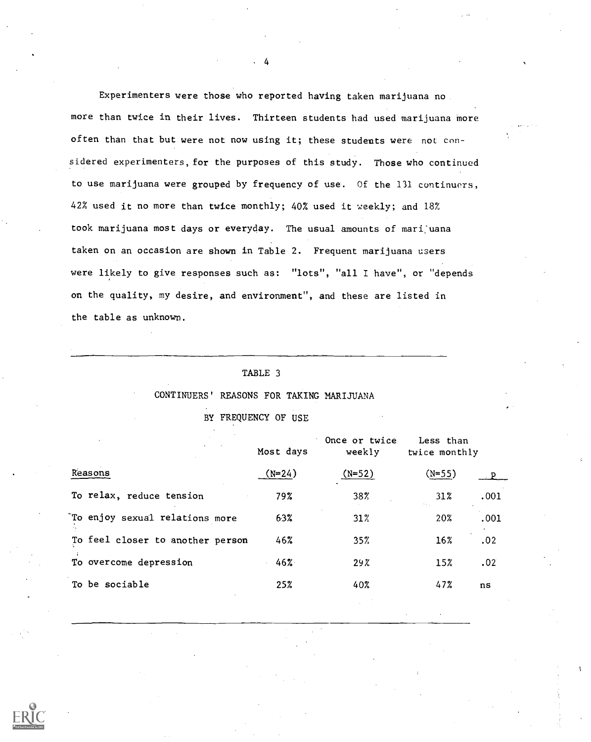Experimenters were those who reported having taken marijuana no more than twice in their lives. Thirteen students had used marijuana more often than that but were not now using it; these students were not considered experimenters, for the purposes of this study. Those who continued to use marijuana were grouped by frequency of use. Of the 131 continuers, 42% used it no more than twice monthly; 40% used it weekly; and 18% took marijuana most days or everyday. The usual amounts of marijuana taken on an occasion are shown in Table 2. Frequent marijuana users were likely to give responses such as: "lots", "all I have", or "depends on the quality, my desire, and environment", and these are listed in the table as unknown.

4

## CONTINUERS' REASONS FOR TAKING MARIJUANA

BY FREQUENCY OF USE

|                                  | Most days | Once or twice<br>weekly | Less than<br>twice monthly |      |
|----------------------------------|-----------|-------------------------|----------------------------|------|
| Reasons                          | $(N=24)$  | $(N=52)$                | $(N=55)$                   |      |
| To relax, reduce tension         | 79%       | 38%                     | 31%                        | .001 |
| To enjoy sexual relations more   | 63%       | 31%                     | 20%                        | .001 |
| To feel closer to another person | 46%       | 35%                     | 16%                        | .02  |
| To overcome depression           | 46%       | $29\%$                  | 15%                        | .02  |
| To be sociable                   | 25%       | 40%                     | 47%                        | ns   |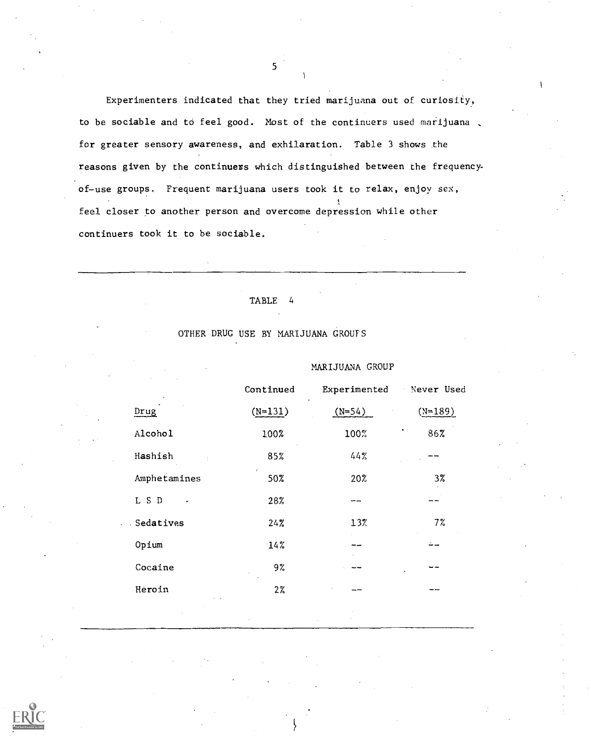Experimenters indicated that they tried marijuana out of curiosity, to be sociable and to feel good. Most of the continuers used marijuana , for greater sensory awareness, and exhilaration. Table 3 shows the reasons given by the continuers which distinguished between the frequencyof-use groups. Frequent marijuana users took it to relax, enjoy sex, feel closer to another person and overcome depression while other continuers took it to be sociable.

## TABLE 4

# MARIJUANA GROUP Continued Experimented Never Used Drug  $(N=131)$   $(N=54)$   $(N=189)$ Alcohol 100% 100% 86% Hashish 85% 44% Amphetamines 50% 20% 3% L S D 28%  $-1$ Sedatives 24% 13% 23% 7% Opium 14% Cocaine 9% Heroin 2%

## OTHER DRUG USE BY MARIJUANA GROUPS

 $5<sup>5</sup>$ 

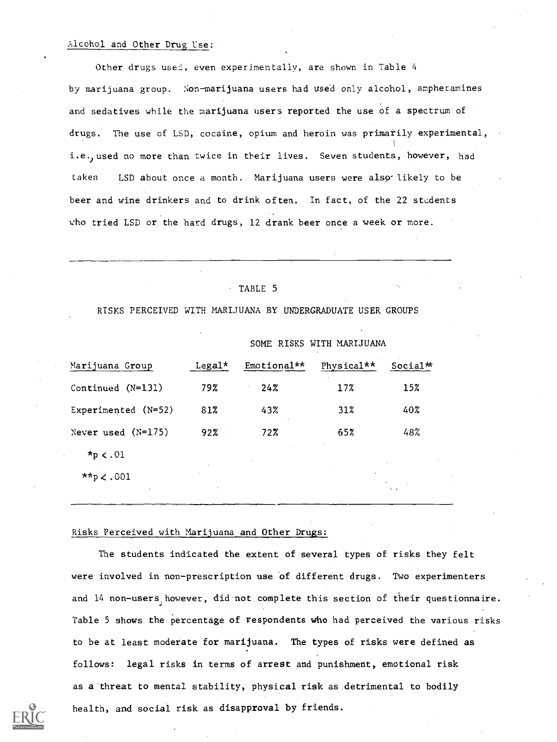## Alcohol and Other Drug Use:

Other drugs used, even experimentally, are shown in Table 4 by marijuana group. Non-marijuana users had used only alcohol, amphetamines and sedatives while the marijuana users reported the use of a spectrum of drugs. The use of LSD, cocaine, opium and heroin was primarily experimental, i.e. ) used no more than twice in their lives. Seven students, however, had taken LSD about once a month. Marijuana users were also likely to be beer and wine drinkers and to drink often. In fact, of the 22 students who tried LSD or the hard drugs, 12 drank beer once a week or more.

## TABLE 5

RISKS PERCEIVED WITH MARIJUANA BY UNDERGRADUATE USER GROUPS

SOME RISKS WITH MARIJUANA

|                      |        | $0.0111$ $0.0010$ $0.0011$ $0.0011$ |            |                      |
|----------------------|--------|-------------------------------------|------------|----------------------|
| Marijuana Group      | Legal* | Emotional**                         | Physical** | Social <sup>**</sup> |
| Continued $(N=131)$  | 79%    | 24%                                 | 17%        | 15%                  |
| Experimented (N=52)  | 81%    | 43%                                 | 31%        | 40%                  |
| Never used $(N=175)$ | 92%    | 72%                                 | 65%        | 48%                  |
| $*_{p}$ < .01        |        |                                     |            |                      |
| **p $\lt$ .001       |        |                                     |            |                      |
| $\cdot$              | ٠.     |                                     |            | $\mathbf{A}$         |

#### Risks Perceived with Marijuana and Other Drugs:

The students indicated the extent of several types of risks they felt were involved in non-prescription use of different drugs. Two experimenters and 14 non-users however, did not complete this section of their questionnaire. Table 5 shows the percentage of respondents who had perceived the various risks to be at least moderate for marijuana. The types of risks were defined as follows: legal risks in terms of arrest and punishment, emotional risk as a threat to mental stability, physical risk as detrimental to bodily health, and social risk as disapproval by friends.

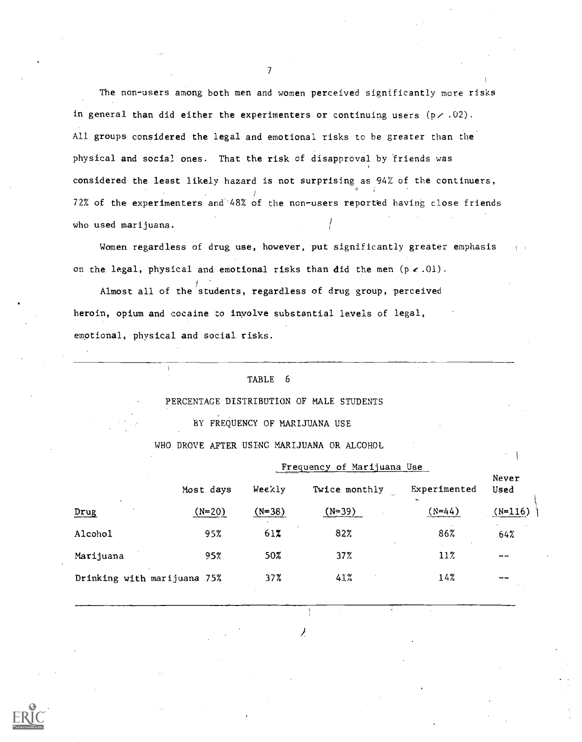The non-users among both men and women perceived significantly more risks in general than did either the experimenters or continuing users  $(p \times .02)$ . All groups considered the legal and emotional risks to be greater than the physical and social ones. That the risk of disapproval by friends was considered the least likely hazard is not surprising as 94% of the continuers, 72% of the experimenters and'48% of the non-users reported having close friends who used marijuana.

Women regardless of drug use, however, put significantly greater emphasis on the legal, physical and emotional risks than did the men  $(p \times .01)$ .

Almost all of the students, regardless of drug group, perceived heroin, opium and cocaine to involve substantial levels of legal, emotional, physical and social risks.

#### TABLE 6

#### PERCENTAGE DISTRIBUTION OF MALE STUDENTS

BY FREQUENCY OF MARIJUANA USE

#### WHO DROVE AFTER USING MARIJUANA OR ALCOHOL

|                             |           |          | Frequency of Marijuana Use |              |               |  |  |  |  |
|-----------------------------|-----------|----------|----------------------------|--------------|---------------|--|--|--|--|
|                             | Most days | Weekly   | Twice monthly              | Experimented | Never<br>Used |  |  |  |  |
| $\cdot$<br>Drug             | $(N=20)$  | $(N=38)$ | $(N=39)$                   | $(N = 44)$   | $(N=116)$     |  |  |  |  |
| Alcohol                     | 95%       | 617      | 82%                        | 86%          | 64%           |  |  |  |  |
| Marijuana                   | 95%       | 50%      | 37%                        | 11%          | --            |  |  |  |  |
| Drinking with marijuana 75% |           | 37%      | 41%                        | 14%          |               |  |  |  |  |

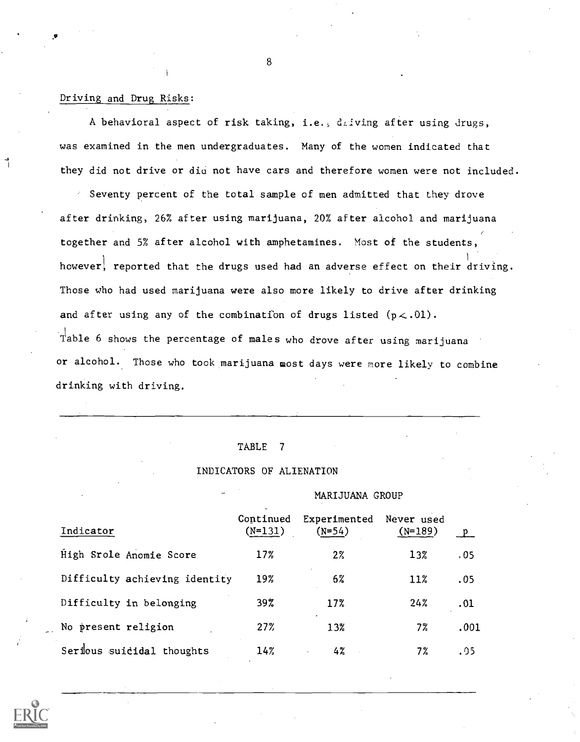## Driving and Drug Risks:

A behavioral aspect of risk taking, i.e., driving after using drugs, was examined in the men undergraduates. Many of the women indicated that they did not drive or diu not have cars and therefore women were not included.

Seventy percent of the total sample of men admitted that they drove after drinking, 26% after using marijuana, 20% after alcohol and marijuana together and 5% after alcohol with amphetamines. Most of the students, however, reported that the drugs used had an adverse effect on their driving. Those who had used marijuana were also more likely to drive after drinking and after using any of the combination of drugs listed  $(p \lt 0.01)$ . Table 6 shows the percentage of males who drove after using marijuana or alcohol. Those who took marijuana most days were more likely to combine drinking with driving.

#### TABLE <sup>7</sup>

#### INDICATORS OF ALIENATION

#### MARIJUANA GROUP

| Indicator                     | Continued<br>$(N=131)$ | Experimented<br>$(N=54)$ | Never used<br>$(N=189)$ | $\mathbf{p}$ |
|-------------------------------|------------------------|--------------------------|-------------------------|--------------|
| High Srole Anomie Score       | 17%                    | $2\%$                    | 13%                     | .05          |
| Difficulty achieving identity | 19%                    | 6%                       | 11%                     | .05          |
| Difficulty in belonging       | 39%                    | 17%                      | 24%                     | .01          |
| No present religion           | 27%                    | 13%                      | 7%                      | .001         |
| Serious suicidal thoughts     | 14%                    | 4%                       | 7%                      | .05          |

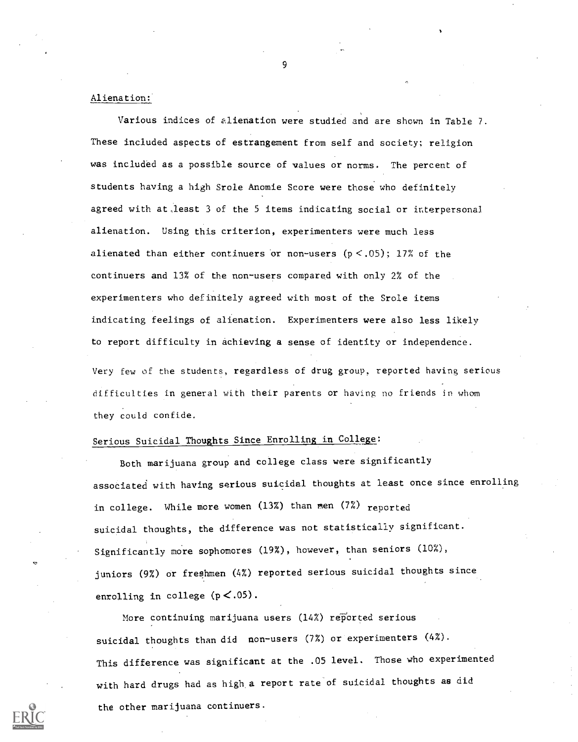## Alienation:

Various indices of alienation were studied and are shown in Table 7. These included aspects of estrangement from self and society; religion was included as a possible source of values or norms. The percent of students having a high Srole Anomie Score were those who definitely agreed with at,least 3 of the 5 items indicating social or interpersonal alienation. Using this criterion, experimenters were much less alienated than either continuers or non-users  $(p < .05)$ ; 17% of the continuers and 13% of the non-users compared with only 2% of the experimenters who definitely agreed with most of the Srole items indicating feelings of alienation. Experimenters were also less likely to report difficulty in achieving a sense of identity or independence. Very few of the students, regardless of drug group, reported having serious difficulties in general with their parents or having no friends in whom they could confide.

# Serious Suicidal Thoughts Since Enrolling in College:

Both marijuana group and college class were significantly associated with having serious suicidal thoughts at least once since enrolling in college. While more women  $(13\%)$  than men  $(7\%)$  reported suicidal thoughts, the difference was not statistically significant. Significantly more sophomores (19%), however, than seniors (10%), juniors (9%) or freshmen (4%) reported serious suicidal thoughts since enrolling in college ( $p < .05$ ).

More continuing marijuana users (14%) reported serious suicidal thoughts than did non-users (7%) or experimenters (4%). This difference was significant at the .05 level. Those who experimented with hard drugs had as high a report rate of suicidal thoughts as did the other marijuana continuers.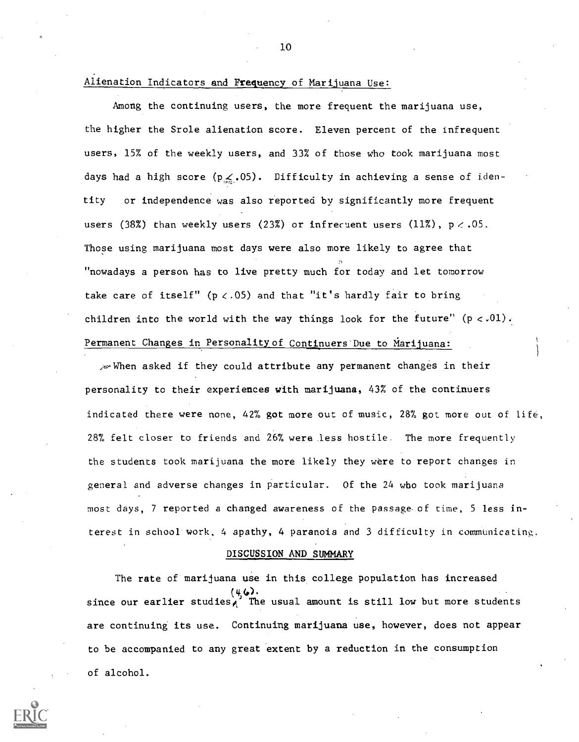## Alienation Indicators and Frequency of Marijuana Use:

Among the continuing users, the more frequent the marijuana use, the higher the Srole alienation score. Eleven percent of the infrequent users, 15% of the weekly users, and 33% of those who took marijuana most days had a high score ( $p \leq .05$ ). Difficulty in achieving a sense of identity or independence was also reported by significantly more frequent users (38%) than weekly users (23%) or infrecuent users (11%),  $p < .05$ . Those using marijuana most days were also more likely to agree that "nowadays a person has to live pretty much for today and let tomorrow take care of itself" ( $p < .05$ ) and that "it's hardly fair to bring children into the world with the way things look for the future"  $(p < .01)$ . Permanent Changes in Personality of Continuers Due to Marijuana:

 $\sim$ When asked if they could attribute any permanent changes in their personality to their experiences with marijuana, 43% of the continuers indicated there were none, 42% got more out of music, 28% got more out of life, 28% felt closer to friends and 26% were less hostile. The more frequently the students took marijuana the more likely they were to report changes in general and adverse changes in particular. Of the 24 who took marijuana most days, 7 reported a changed awareness of the passage of time, 5 less interest in school work, 4 apathy, 4 paranoia and 3 difficulty in communicating.

#### DISCUSSION AND SUMMARY

The rate of marijuana use in this college population has increased  $(4, 6)$ . since our earlier studies, The usual amount is still low but more students are continuing its use. Continuing marijuana use, however, does not appear to be accompanied to any great extent by a reduction in the consumption of alcohol.

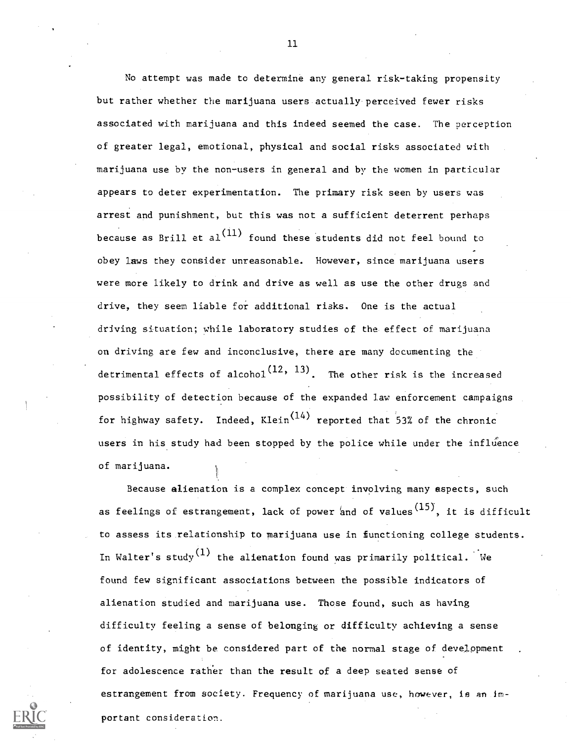No attempt was made to determine any general risk-taking propensity but rather whether the marijuana users actually perceived fewer risks associated with marijuana and this indeed seemed the case. The perception of greater legal, emotional, physical and social risks associated with marijuana use by the non-users in general and by the women in particular appears to deter experimentation. The primary risk seen by users was arrest and punishment, but this was not a sufficient deterrent perhaps because as Brill et  $a_1^{(11)}$  found these students did not feel bound to obey laws they consider unreasonable. However, since marijuana users were more likely to drink and drive as well as use the other drugs and drive, they seem liable for additional risks. One is the actual driving situation; while laboratory studies of the effect of marijuana on driving are few and inconclusive, there are many documenting the detrimental effects of alcohol<sup>(12, 13)</sup>. The other risk is the increased possibility of detection because of the expanded law enforcement campaigns for highway safety. Indeed, Klein $(14)$  reported that 53% of the chronic users in his study had been stopped by the police while under the influence of marijuana.

Because alienation is a complex concept involving many aspects, such as feelings of estrangement, lack of power and of values<sup>(15)</sup>, it is difficult to assess its relationship to marijuana use in functioning college students. In Walter's study  $(1)$  the alienation found was primarily political. We found few significant associations between the possible indicators of alienation studied and marijuana use. Those found, such as having difficulty feeling a sense of belonging or difficulty achieving a sense of identity, might be considered part of the normal stage of development for adolescence rather than the result of a deep seated sense of estrangement from society. Frequency of marijuana use, however, is an important consideration.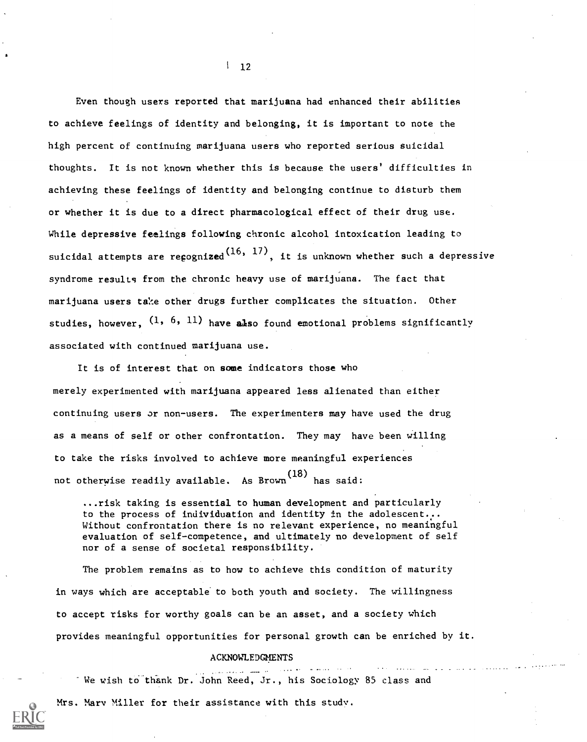Even though users reported that marijuana had enhanced their abilities to achieve feelings of identity and belonging, it is important to note the high percent of continuing marijuana users who reported serious suicidal thoughts. It is not known whether this is because the users' difficulties in achieving these feelings of identity and belonging continue to disturb them or whether it is due to a direct pharmacological effect of their drug use. While depressive feelings following chronic alcohol intoxication leading to suicidal attempts are re ${\mathfrak c}$ ognized $^{(16,\;\;17)},$  it is unknown whether such a depressive syndrome results from the chronic heavy use of marijuana. The fact that marijuana users take other drugs further complicates the situation. Other studies, however,  $(1, 6, 11)$  have also found emotional problems significantly associated with continued marijuana use.

It is of interest that on some indicators those who merely experimented with marijuana appeared less alienated than either continuing users or non-users. The experimenters may have used the drug as a means of self or other confrontation. They may have been willing to take the risks involved to achieve more meaningful experiences not otherwise readily available. As Brown (18) has said:

...risk taking is essential to human development and particularly to the process of individuation and identity in the adolescent... Without confrontation there is no relevant experience, no meaningful evaluation of self-competence, and ultimately no development of self nor of a sense of societal responsibility.

The problem remains as to how to achieve this condition of maturity in ways which are acceptable to both youth and society. The willingness to accept risks for worthy goals can be an asset, and a society which provides meaningful opportunities for personal growth can be enriched by it.

#### ACKNOWLEDGMENTS

a a cheann

We wish to thank Dr. John Reed, Jr., his Sociology 85 class and

Mrs. Mary Miller for their assistance with this study.